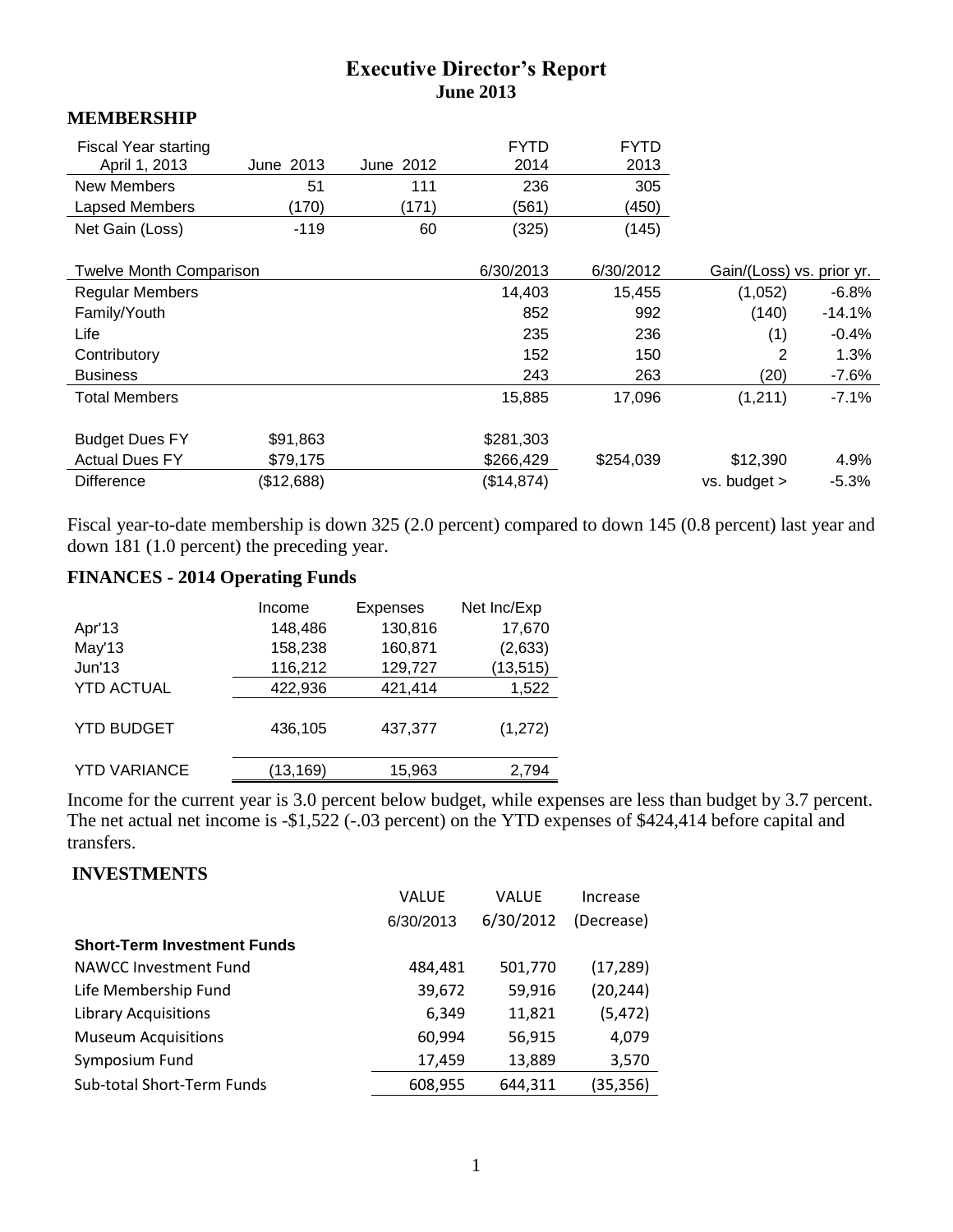# **Executive Director's Report June 2013**

#### **MEMBERSHIP**

| <b>Fiscal Year starting</b><br>April 1, 2013<br><b>New Members</b> | June 2013<br>51 | June 2012<br>111 | <b>FYTD</b><br>2014<br>236 | <b>FYTD</b><br>2013<br>305 |                           |          |
|--------------------------------------------------------------------|-----------------|------------------|----------------------------|----------------------------|---------------------------|----------|
| Lapsed Members                                                     | (170)           | (171)            | (561)                      | (450)                      |                           |          |
| Net Gain (Loss)                                                    | $-119$          | 60               | (325)                      | (145)                      |                           |          |
| <b>Twelve Month Comparison</b>                                     |                 |                  | 6/30/2013                  | 6/30/2012                  | Gain/(Loss) vs. prior yr. |          |
| <b>Regular Members</b>                                             |                 |                  | 14,403                     | 15,455                     | (1,052)                   | $-6.8%$  |
| Family/Youth                                                       |                 |                  | 852                        | 992                        | (140)                     | $-14.1%$ |
| Life                                                               |                 |                  | 235                        | 236                        | (1)                       | $-0.4%$  |
| Contributory                                                       |                 |                  | 152                        | 150                        | 2                         | 1.3%     |
| <b>Business</b>                                                    |                 |                  | 243                        | 263                        | (20)                      | $-7.6%$  |
| <b>Total Members</b>                                               |                 |                  | 15,885                     | 17,096                     | (1,211)                   | $-7.1%$  |
| <b>Budget Dues FY</b>                                              | \$91,863        |                  | \$281,303                  |                            |                           |          |
| <b>Actual Dues FY</b>                                              | \$79,175        |                  | \$266,429                  | \$254,039                  | \$12,390                  | 4.9%     |
| <b>Difference</b>                                                  | (\$12,688)      |                  | (\$14,874)                 |                            | vs. budget >              | $-5.3%$  |

Fiscal year-to-date membership is down 325 (2.0 percent) compared to down 145 (0.8 percent) last year and down 181 (1.0 percent) the preceding year.

# **FINANCES - 2014 Operating Funds**

|                     | Income   | <b>Expenses</b> | Net Inc/Exp |
|---------------------|----------|-----------------|-------------|
| Apr'13              | 148,486  | 130,816         | 17,670      |
| May'13              | 158,238  | 160,871         | (2,633)     |
| Jun'13              | 116,212  | 129,727         | (13, 515)   |
| <b>YTD ACTUAL</b>   | 422,936  | 421,414         | 1,522       |
| <b>YTD BUDGET</b>   | 436,105  | 437,377         | (1, 272)    |
| <b>YTD VARIANCE</b> | (13,169) | 15,963          | 2,794       |

Income for the current year is 3.0 percent below budget, while expenses are less than budget by 3.7 percent. The net actual net income is -\$1,522 (-.03 percent) on the YTD expenses of \$424,414 before capital and transfers.

#### **INVESTMENTS**

|                                    | <b>VALUE</b> | <b>VALUE</b> | Increase   |
|------------------------------------|--------------|--------------|------------|
|                                    | 6/30/2013    | 6/30/2012    | (Decrease) |
| <b>Short-Term Investment Funds</b> |              |              |            |
| NAWCC Investment Fund              | 484,481      | 501,770      | (17, 289)  |
| Life Membership Fund               | 39,672       | 59,916       | (20, 244)  |
| <b>Library Acquisitions</b>        | 6,349        | 11,821       | (5, 472)   |
| <b>Museum Acquisitions</b>         | 60,994       | 56,915       | 4,079      |
| Symposium Fund                     | 17,459       | 13,889       | 3,570      |
| Sub-total Short-Term Funds         | 608,955      | 644,311      | (35, 356)  |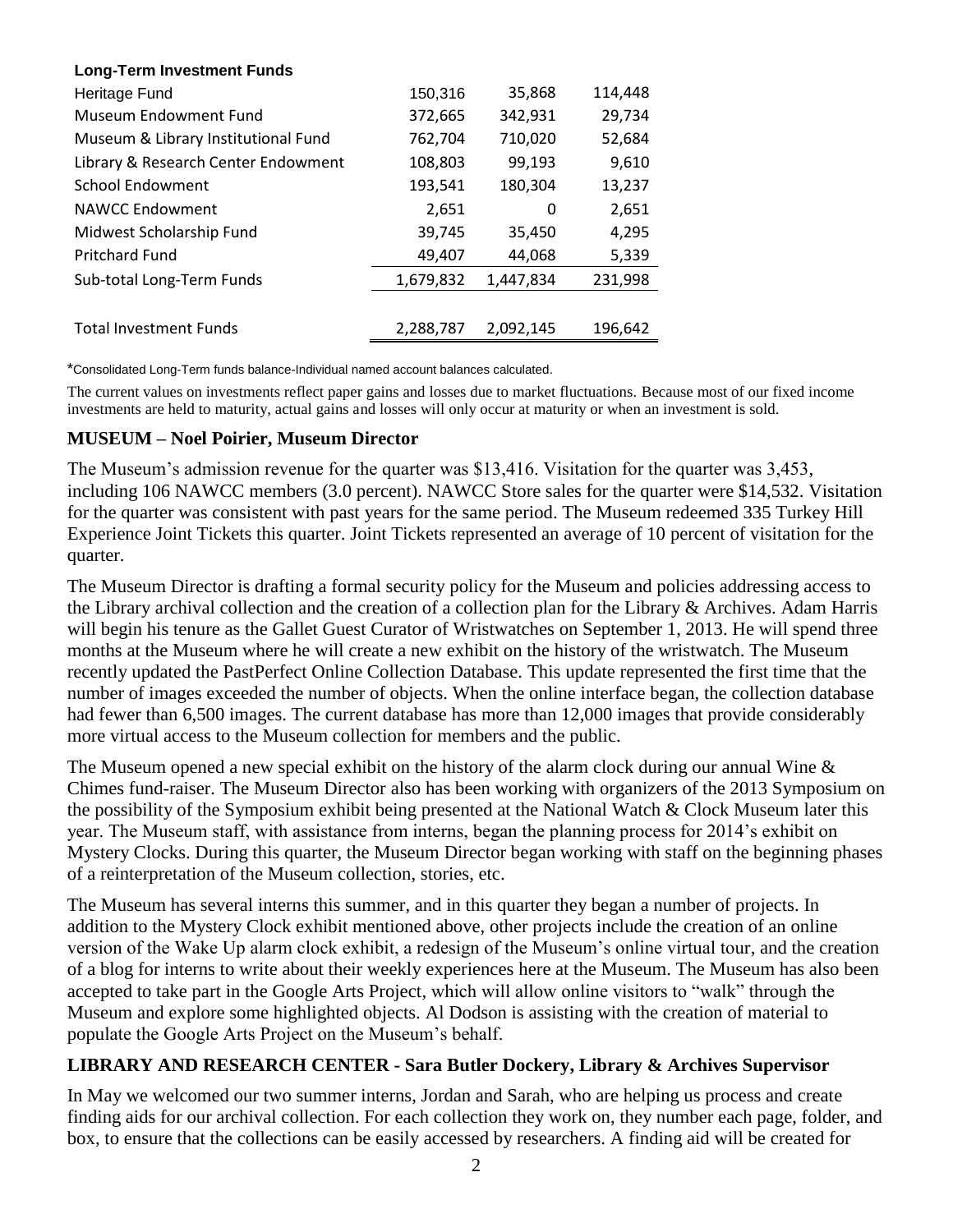| <b>Long-Term Investment Funds</b>   |           |           |         |
|-------------------------------------|-----------|-----------|---------|
| Heritage Fund                       | 150,316   | 35,868    | 114,448 |
| Museum Endowment Fund               | 372,665   | 342,931   | 29,734  |
| Museum & Library Institutional Fund | 762,704   | 710,020   | 52,684  |
| Library & Research Center Endowment | 108,803   | 99,193    | 9,610   |
| <b>School Endowment</b>             | 193,541   | 180,304   | 13,237  |
| <b>NAWCC Endowment</b>              | 2,651     | 0         | 2,651   |
| Midwest Scholarship Fund            | 39,745    | 35,450    | 4,295   |
| <b>Pritchard Fund</b>               | 49,407    | 44,068    | 5,339   |
| Sub-total Long-Term Funds           | 1,679,832 | 1,447,834 | 231,998 |
|                                     |           |           |         |
| <b>Total Investment Funds</b>       | 2,288,787 | 2,092,145 | 196,642 |

\*Consolidated Long-Term funds balance-Individual named account balances calculated.

The current values on investments reflect paper gains and losses due to market fluctuations. Because most of our fixed income investments are held to maturity, actual gains and losses will only occur at maturity or when an investment is sold.

#### **MUSEUM – Noel Poirier, Museum Director**

The Museum's admission revenue for the quarter was \$13,416. Visitation for the quarter was 3,453, including 106 NAWCC members (3.0 percent). NAWCC Store sales for the quarter were \$14,532. Visitation for the quarter was consistent with past years for the same period. The Museum redeemed 335 Turkey Hill Experience Joint Tickets this quarter. Joint Tickets represented an average of 10 percent of visitation for the quarter.

The Museum Director is drafting a formal security policy for the Museum and policies addressing access to the Library archival collection and the creation of a collection plan for the Library & Archives. Adam Harris will begin his tenure as the Gallet Guest Curator of Wristwatches on September 1, 2013. He will spend three months at the Museum where he will create a new exhibit on the history of the wristwatch. The Museum recently updated the PastPerfect Online Collection Database. This update represented the first time that the number of images exceeded the number of objects. When the online interface began, the collection database had fewer than 6,500 images. The current database has more than 12,000 images that provide considerably more virtual access to the Museum collection for members and the public.

The Museum opened a new special exhibit on the history of the alarm clock during our annual Wine & Chimes fund-raiser. The Museum Director also has been working with organizers of the 2013 Symposium on the possibility of the Symposium exhibit being presented at the National Watch & Clock Museum later this year. The Museum staff, with assistance from interns, began the planning process for 2014's exhibit on Mystery Clocks. During this quarter, the Museum Director began working with staff on the beginning phases of a reinterpretation of the Museum collection, stories, etc.

The Museum has several interns this summer, and in this quarter they began a number of projects. In addition to the Mystery Clock exhibit mentioned above, other projects include the creation of an online version of the Wake Up alarm clock exhibit, a redesign of the Museum's online virtual tour, and the creation of a blog for interns to write about their weekly experiences here at the Museum. The Museum has also been accepted to take part in the Google Arts Project, which will allow online visitors to "walk" through the Museum and explore some highlighted objects. Al Dodson is assisting with the creation of material to populate the Google Arts Project on the Museum's behalf.

#### **LIBRARY AND RESEARCH CENTER - Sara Butler Dockery, Library & Archives Supervisor**

In May we welcomed our two summer interns, Jordan and Sarah, who are helping us process and create finding aids for our archival collection. For each collection they work on, they number each page, folder, and box, to ensure that the collections can be easily accessed by researchers. A finding aid will be created for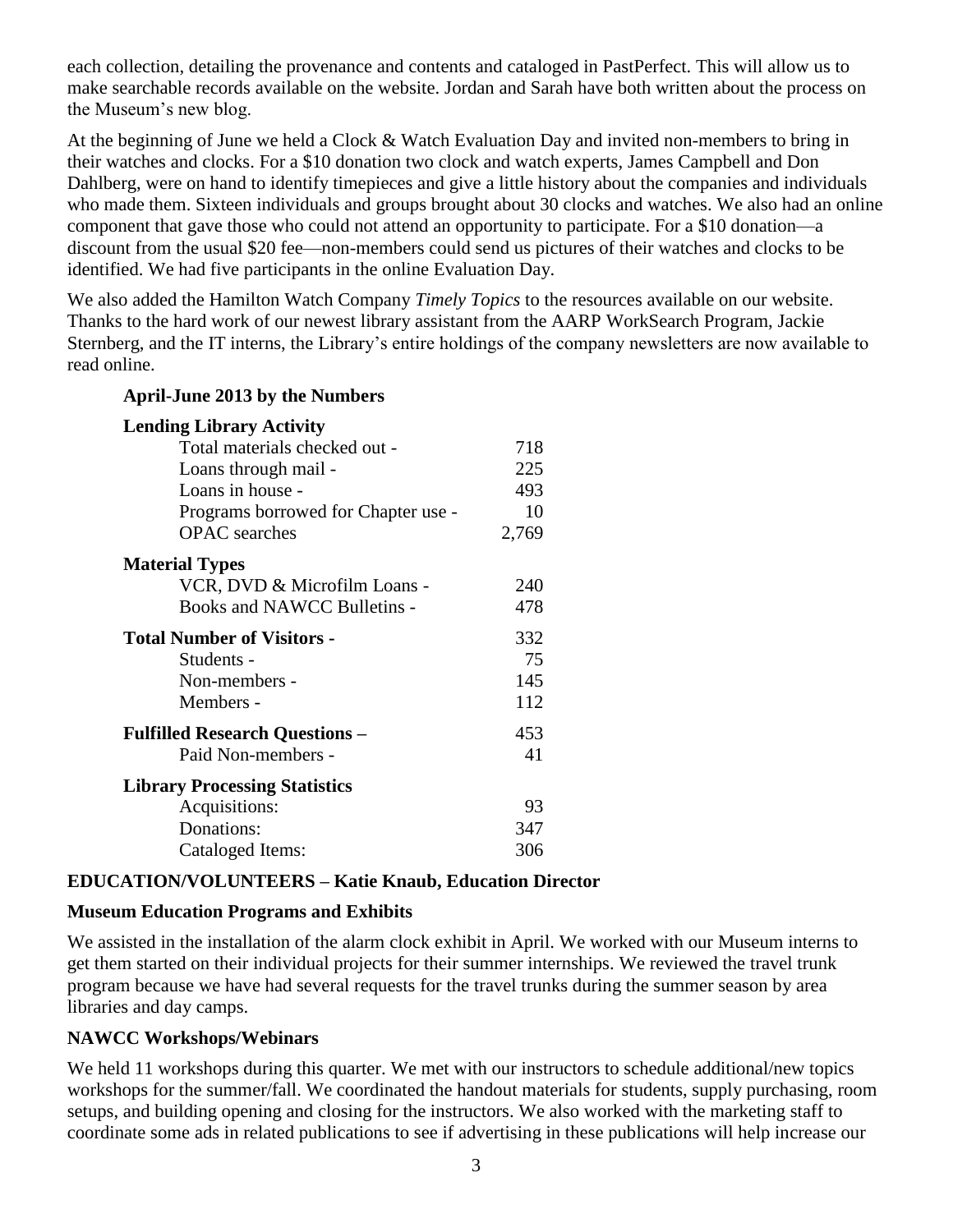each collection, detailing the provenance and contents and cataloged in PastPerfect. This will allow us to make searchable records available on the website. Jordan and Sarah have both written about the process on the Museum's new blog.

At the beginning of June we held a Clock & Watch Evaluation Day and invited non-members to bring in their watches and clocks. For a \$10 donation two clock and watch experts, James Campbell and Don Dahlberg, were on hand to identify timepieces and give a little history about the companies and individuals who made them. Sixteen individuals and groups brought about 30 clocks and watches. We also had an online component that gave those who could not attend an opportunity to participate. For a \$10 donation—a discount from the usual \$20 fee—non-members could send us pictures of their watches and clocks to be identified. We had five participants in the online Evaluation Day.

We also added the Hamilton Watch Company *Timely Topics* to the resources available on our website. Thanks to the hard work of our newest library assistant from the AARP WorkSearch Program, Jackie Sternberg, and the IT interns, the Library's entire holdings of the company newsletters are now available to read online.

| $1.4\mu$ and $2.4\mu$ $3.7\mu$        |       |
|---------------------------------------|-------|
| <b>Lending Library Activity</b>       |       |
| Total materials checked out -         | 718   |
| Loans through mail -                  | 225   |
| Loans in house -                      | 493   |
| Programs borrowed for Chapter use -   | 10    |
| <b>OPAC</b> searches                  | 2,769 |
| <b>Material Types</b>                 |       |
| VCR, DVD & Microfilm Loans -          | 240   |
| Books and NAWCC Bulletins -           | 478   |
| <b>Total Number of Visitors -</b>     | 332   |
| Students -                            | 75    |
| Non-members -                         | 145   |
| Members -                             | 112   |
| <b>Fulfilled Research Questions -</b> | 453   |
| Paid Non-members -                    | 41    |
| <b>Library Processing Statistics</b>  |       |
| Acquisitions:                         | 93    |
| Donations:                            | 347   |
| Cataloged Items:                      | 306   |

# **EDUCATION/VOLUNTEERS – Katie Knaub, Education Director**

# **Museum Education Programs and Exhibits**

**April-June 2013 by the Numbers**

We assisted in the installation of the alarm clock exhibit in April. We worked with our Museum interns to get them started on their individual projects for their summer internships. We reviewed the travel trunk program because we have had several requests for the travel trunks during the summer season by area libraries and day camps.

# **NAWCC Workshops/Webinars**

We held 11 workshops during this quarter. We met with our instructors to schedule additional/new topics workshops for the summer/fall. We coordinated the handout materials for students, supply purchasing, room setups, and building opening and closing for the instructors. We also worked with the marketing staff to coordinate some ads in related publications to see if advertising in these publications will help increase our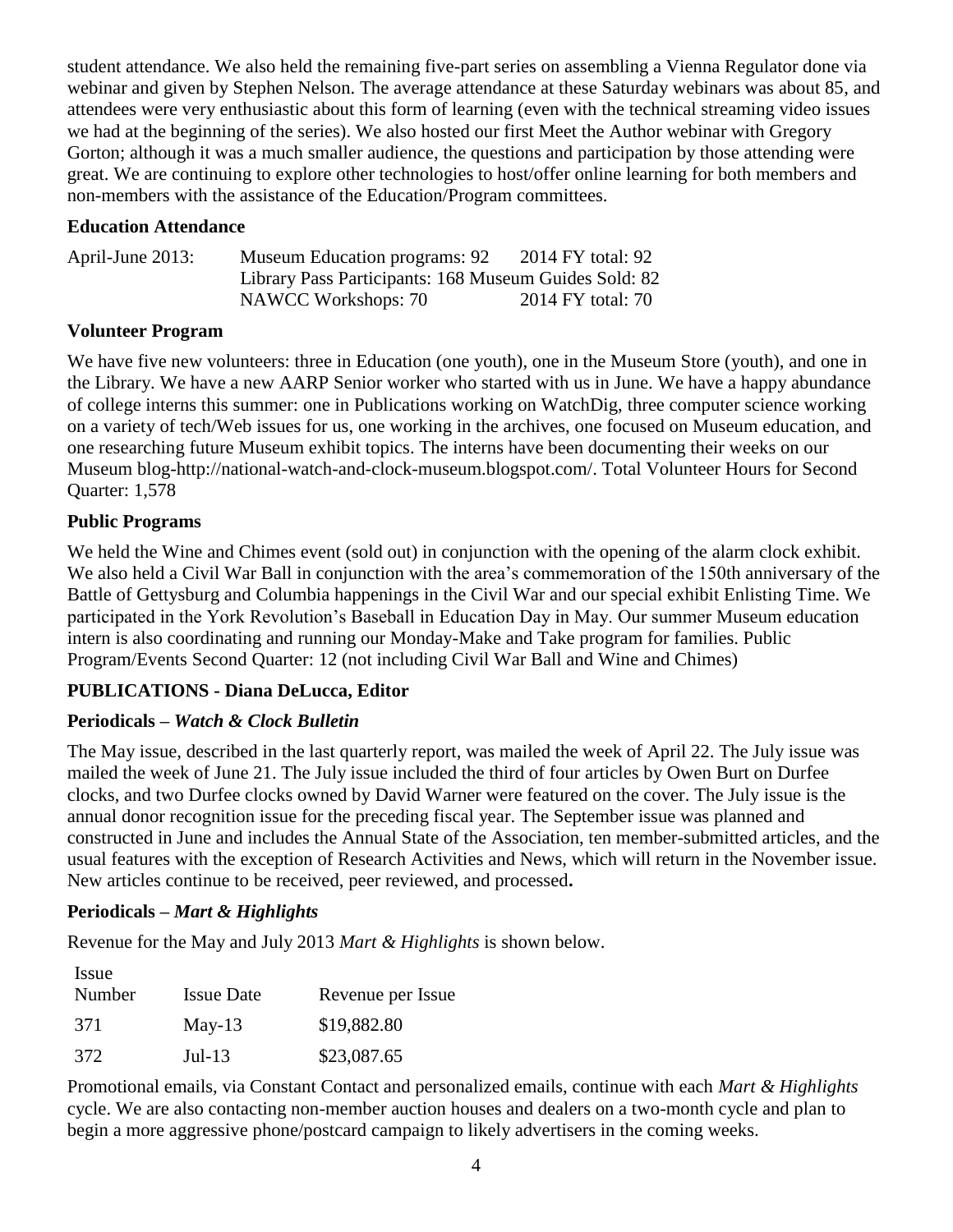student attendance. We also held the remaining five-part series on assembling a Vienna Regulator done via webinar and given by Stephen Nelson. The average attendance at these Saturday webinars was about 85, and attendees were very enthusiastic about this form of learning (even with the technical streaming video issues we had at the beginning of the series). We also hosted our first Meet the Author webinar with Gregory Gorton; although it was a much smaller audience, the questions and participation by those attending were great. We are continuing to explore other technologies to host/offer online learning for both members and non-members with the assistance of the Education/Program committees.

#### **Education Attendance**

| April-June 2013: | <b>Museum Education programs: 92</b>                  | 2014 FY total: 92 |
|------------------|-------------------------------------------------------|-------------------|
|                  | Library Pass Participants: 168 Museum Guides Sold: 82 |                   |
|                  | NAWCC Workshops: 70                                   | 2014 FY total: 70 |

## **Volunteer Program**

We have five new volunteers: three in Education (one youth), one in the Museum Store (youth), and one in the Library. We have a new AARP Senior worker who started with us in June. We have a happy abundance of college interns this summer: one in Publications working on WatchDig, three computer science working on a variety of tech/Web issues for us, one working in the archives, one focused on Museum education, and one researching future Museum exhibit topics. The interns have been documenting their weeks on our Museum blog-http://national-watch-and-clock-museum.blogspot.com/. Total Volunteer Hours for Second Quarter: 1,578

## **Public Programs**

We held the Wine and Chimes event (sold out) in conjunction with the opening of the alarm clock exhibit. We also held a Civil War Ball in conjunction with the area's commemoration of the 150th anniversary of the Battle of Gettysburg and Columbia happenings in the Civil War and our special exhibit Enlisting Time. We participated in the York Revolution's Baseball in Education Day in May. Our summer Museum education intern is also coordinating and running our Monday-Make and Take program for families. Public Program/Events Second Quarter: 12 (not including Civil War Ball and Wine and Chimes)

## **PUBLICATIONS - Diana DeLucca, Editor**

## **Periodicals –** *Watch & Clock Bulletin*

The May issue, described in the last quarterly report, was mailed the week of April 22. The July issue was mailed the week of June 21. The July issue included the third of four articles by Owen Burt on Durfee clocks, and two Durfee clocks owned by David Warner were featured on the cover. The July issue is the annual donor recognition issue for the preceding fiscal year. The September issue was planned and constructed in June and includes the Annual State of the Association, ten member-submitted articles, and the usual features with the exception of Research Activities and News, which will return in the November issue. New articles continue to be received, peer reviewed, and processed**.**

## **Periodicals –** *Mart & Highlights*

Revenue for the May and July 2013 *Mart & Highlights* is shown below.

| Issue  |                   |                   |
|--------|-------------------|-------------------|
| Number | <b>Issue Date</b> | Revenue per Issue |
| 371    | $May-13$          | \$19,882.80       |
| 372    | $Jul-13$          | \$23,087.65       |

Promotional emails, via Constant Contact and personalized emails, continue with each *Mart & Highlights*  cycle. We are also contacting non-member auction houses and dealers on a two-month cycle and plan to begin a more aggressive phone/postcard campaign to likely advertisers in the coming weeks.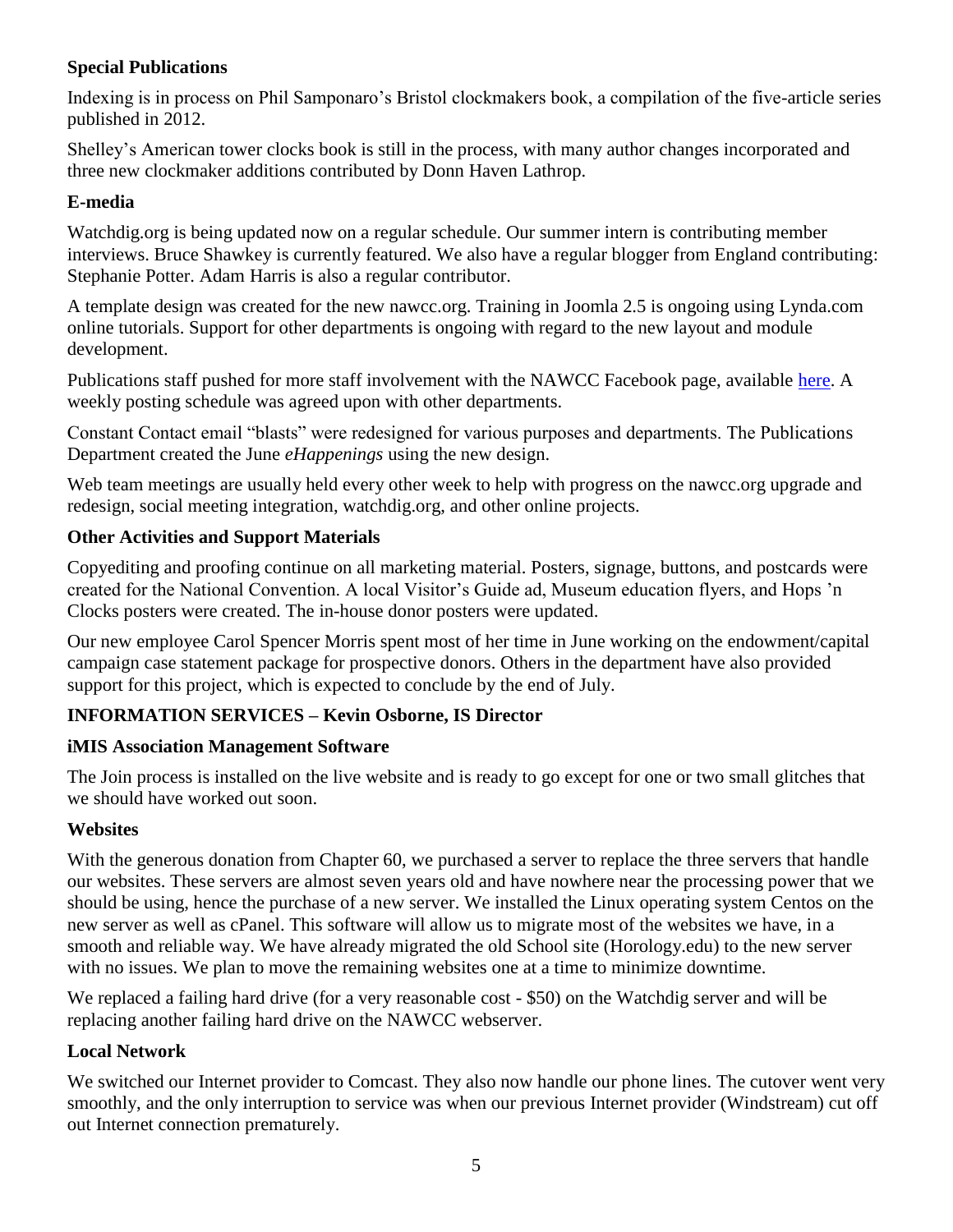## **Special Publications**

Indexing is in process on Phil Samponaro's Bristol clockmakers book, a compilation of the five-article series published in 2012.

Shelley's American tower clocks book is still in the process, with many author changes incorporated and three new clockmaker additions contributed by Donn Haven Lathrop.

#### **E-media**

Watchdig.org is being updated now on a regular schedule. Our summer intern is contributing member interviews. Bruce Shawkey is currently featured. We also have a regular blogger from England contributing: Stephanie Potter. Adam Harris is also a regular contributor.

A template design was created for the new nawcc.org. Training in Joomla 2.5 is ongoing using Lynda.com online tutorials. Support for other departments is ongoing with regard to the new layout and module development.

Publications staff pushed for more staff involvement with the NAWCC Facebook page, available [here.](https://www.facebook.com/pages/National-Association-of-Watch-Clock-Collectors/157695280957414) A weekly posting schedule was agreed upon with other departments.

Constant Contact email "blasts" were redesigned for various purposes and departments. The Publications Department created the June *eHappenings* using the new design.

Web team meetings are usually held every other week to help with progress on the nawcc.org upgrade and redesign, social meeting integration, watchdig.org, and other online projects.

#### **Other Activities and Support Materials**

Copyediting and proofing continue on all marketing material. Posters, signage, buttons, and postcards were created for the National Convention. A local Visitor's Guide ad, Museum education flyers, and Hops 'n Clocks posters were created. The in-house donor posters were updated.

Our new employee Carol Spencer Morris spent most of her time in June working on the endowment/capital campaign case statement package for prospective donors. Others in the department have also provided support for this project, which is expected to conclude by the end of July.

## **INFORMATION SERVICES – Kevin Osborne, IS Director**

#### **iMIS Association Management Software**

The Join process is installed on the live website and is ready to go except for one or two small glitches that we should have worked out soon.

#### **Websites**

With the generous donation from Chapter 60, we purchased a server to replace the three servers that handle our websites. These servers are almost seven years old and have nowhere near the processing power that we should be using, hence the purchase of a new server. We installed the Linux operating system Centos on the new server as well as cPanel. This software will allow us to migrate most of the websites we have, in a smooth and reliable way. We have already migrated the old School site (Horology.edu) to the new server with no issues. We plan to move the remaining websites one at a time to minimize downtime.

We replaced a failing hard drive (for a very reasonable cost - \$50) on the Watchdig server and will be replacing another failing hard drive on the NAWCC webserver.

## **Local Network**

We switched our Internet provider to Comcast. They also now handle our phone lines. The cutover went very smoothly, and the only interruption to service was when our previous Internet provider (Windstream) cut off out Internet connection prematurely.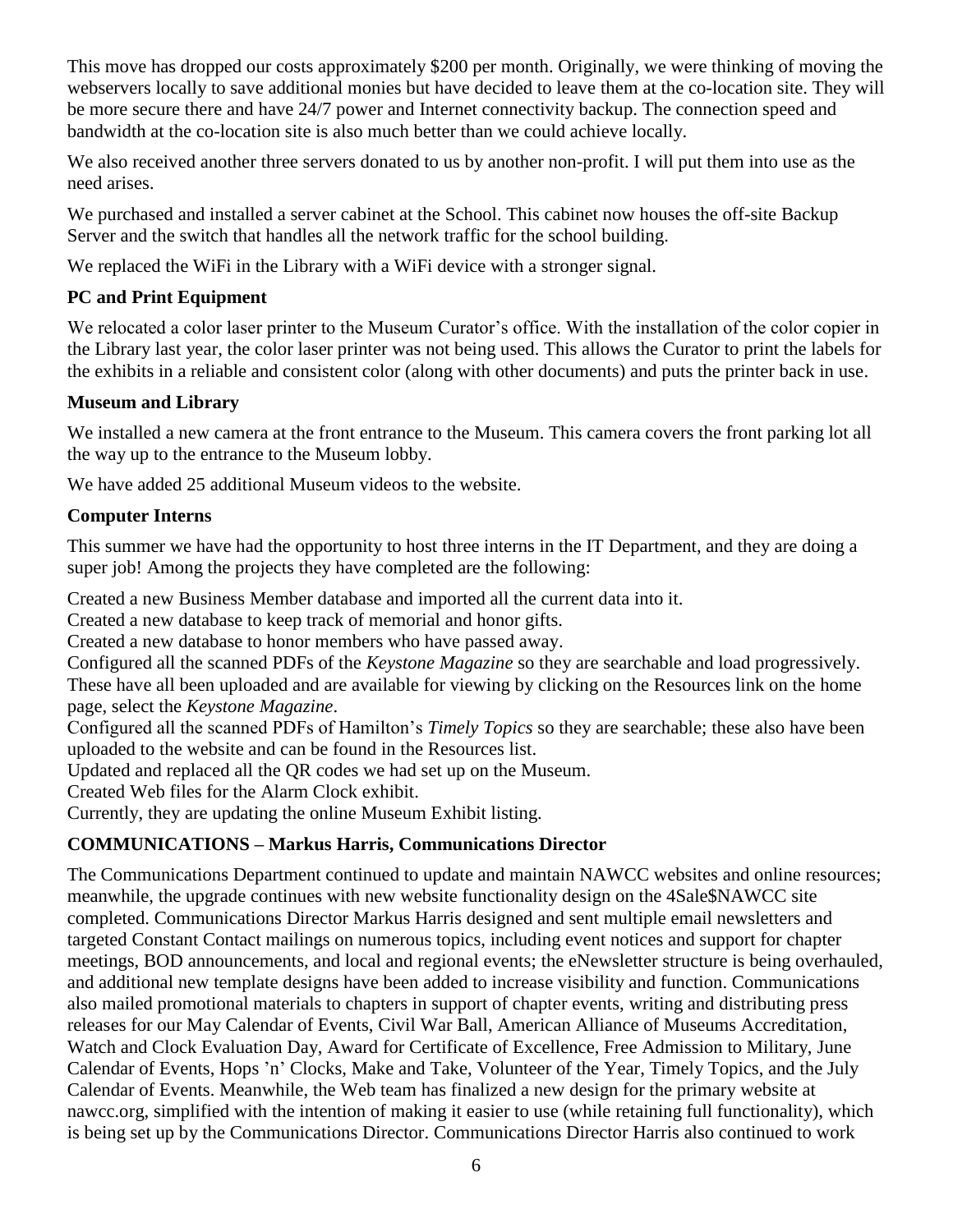This move has dropped our costs approximately \$200 per month. Originally, we were thinking of moving the webservers locally to save additional monies but have decided to leave them at the co-location site. They will be more secure there and have 24/7 power and Internet connectivity backup. The connection speed and bandwidth at the co-location site is also much better than we could achieve locally.

We also received another three servers donated to us by another non-profit. I will put them into use as the need arises.

We purchased and installed a server cabinet at the School. This cabinet now houses the off-site Backup Server and the switch that handles all the network traffic for the school building.

We replaced the WiFi in the Library with a WiFi device with a stronger signal.

## **PC and Print Equipment**

We relocated a color laser printer to the Museum Curator's office. With the installation of the color copier in the Library last year, the color laser printer was not being used. This allows the Curator to print the labels for the exhibits in a reliable and consistent color (along with other documents) and puts the printer back in use.

## **Museum and Library**

We installed a new camera at the front entrance to the Museum. This camera covers the front parking lot all the way up to the entrance to the Museum lobby.

We have added 25 additional Museum videos to the website.

#### **Computer Interns**

This summer we have had the opportunity to host three interns in the IT Department, and they are doing a super job! Among the projects they have completed are the following:

Created a new Business Member database and imported all the current data into it.

Created a new database to keep track of memorial and honor gifts.

Created a new database to honor members who have passed away.

Configured all the scanned PDFs of the *Keystone Magazine* so they are searchable and load progressively. These have all been uploaded and are available for viewing by clicking on the Resources link on the home page, select the *Keystone Magazine*.

Configured all the scanned PDFs of Hamilton's *Timely Topics* so they are searchable; these also have been uploaded to the website and can be found in the Resources list.

Updated and replaced all the QR codes we had set up on the Museum.

Created Web files for the Alarm Clock exhibit.

Currently, they are updating the online Museum Exhibit listing.

## **COMMUNICATIONS – Markus Harris, Communications Director**

The Communications Department continued to update and maintain NAWCC websites and online resources; meanwhile, the upgrade continues with new website functionality design on the 4Sale\$NAWCC site completed. Communications Director Markus Harris designed and sent multiple email newsletters and targeted Constant Contact mailings on numerous topics, including event notices and support for chapter meetings, BOD announcements, and local and regional events; the eNewsletter structure is being overhauled, and additional new template designs have been added to increase visibility and function. Communications also mailed promotional materials to chapters in support of chapter events, writing and distributing press releases for our May Calendar of Events, Civil War Ball, American Alliance of Museums Accreditation, Watch and Clock Evaluation Day, Award for Certificate of Excellence, Free Admission to Military, June Calendar of Events, Hops 'n' Clocks, Make and Take, Volunteer of the Year, Timely Topics, and the July Calendar of Events. Meanwhile, the Web team has finalized a new design for the primary website at nawcc.org, simplified with the intention of making it easier to use (while retaining full functionality), which is being set up by the Communications Director. Communications Director Harris also continued to work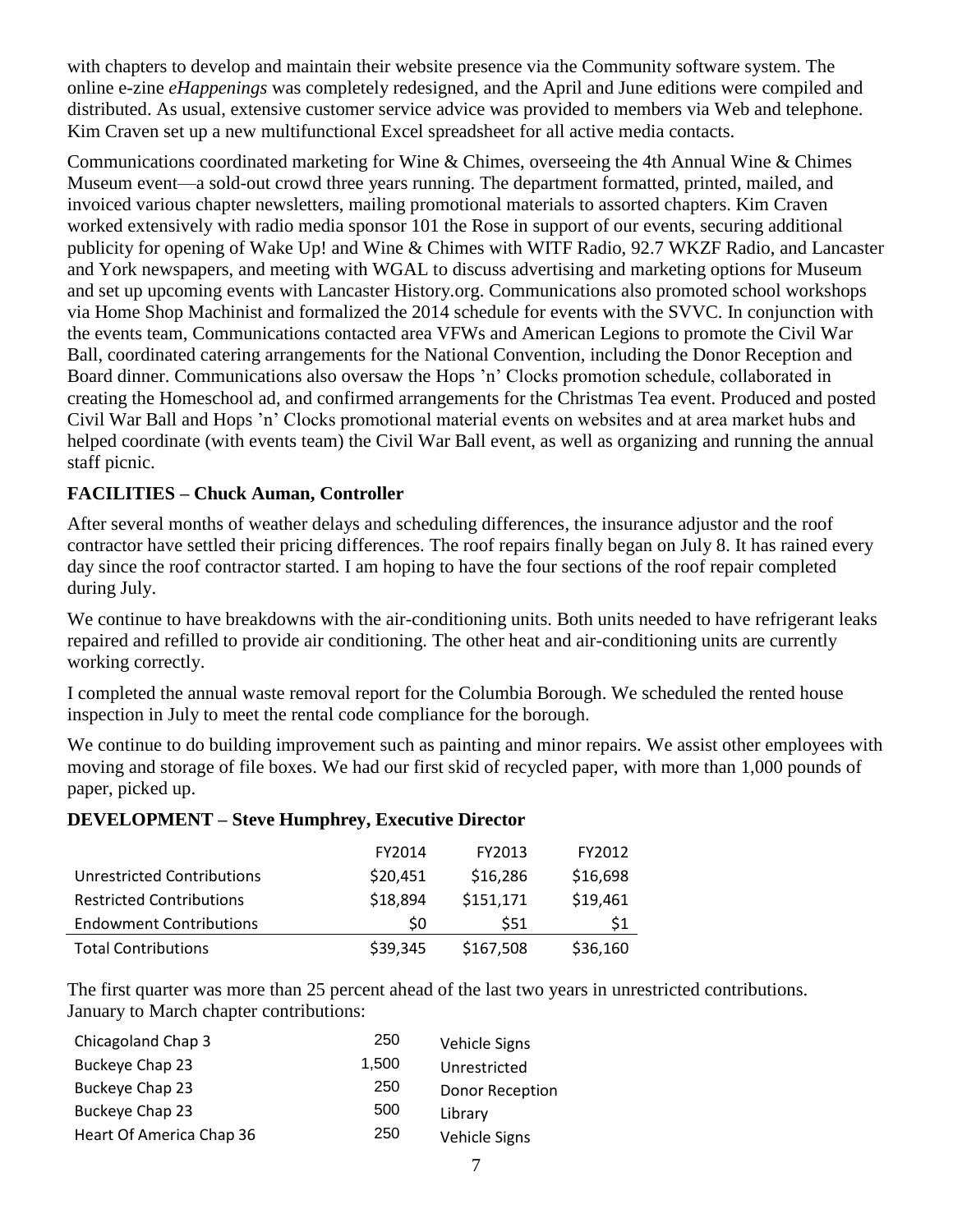with chapters to develop and maintain their website presence via the Community software system. The online e-zine *eHappenings* was completely redesigned, and the April and June editions were compiled and distributed. As usual, extensive customer service advice was provided to members via Web and telephone. Kim Craven set up a new multifunctional Excel spreadsheet for all active media contacts.

Communications coordinated marketing for Wine & Chimes, overseeing the 4th Annual Wine & Chimes Museum event—a sold-out crowd three years running. The department formatted, printed, mailed, and invoiced various chapter newsletters, mailing promotional materials to assorted chapters. Kim Craven worked extensively with radio media sponsor 101 the Rose in support of our events, securing additional publicity for opening of Wake Up! and Wine & Chimes with WITF Radio, 92.7 WKZF Radio, and Lancaster and York newspapers, and meeting with WGAL to discuss advertising and marketing options for Museum and set up upcoming events with Lancaster History.org. Communications also promoted school workshops via Home Shop Machinist and formalized the 2014 schedule for events with the SVVC. In conjunction with the events team, Communications contacted area VFWs and American Legions to promote the Civil War Ball, coordinated catering arrangements for the National Convention, including the Donor Reception and Board dinner. Communications also oversaw the Hops 'n' Clocks promotion schedule, collaborated in creating the Homeschool ad, and confirmed arrangements for the Christmas Tea event. Produced and posted Civil War Ball and Hops 'n' Clocks promotional material events on websites and at area market hubs and helped coordinate (with events team) the Civil War Ball event, as well as organizing and running the annual staff picnic.

## **FACILITIES – Chuck Auman, Controller**

After several months of weather delays and scheduling differences, the insurance adjustor and the roof contractor have settled their pricing differences. The roof repairs finally began on July 8. It has rained every day since the roof contractor started. I am hoping to have the four sections of the roof repair completed during July.

We continue to have breakdowns with the air-conditioning units. Both units needed to have refrigerant leaks repaired and refilled to provide air conditioning. The other heat and air-conditioning units are currently working correctly.

I completed the annual waste removal report for the Columbia Borough. We scheduled the rented house inspection in July to meet the rental code compliance for the borough.

We continue to do building improvement such as painting and minor repairs. We assist other employees with moving and storage of file boxes. We had our first skid of recycled paper, with more than 1,000 pounds of paper, picked up.

#### **DEVELOPMENT – Steve Humphrey, Executive Director**

|                                   | FY2014   | FY2013    | FY2012   |
|-----------------------------------|----------|-----------|----------|
| <b>Unrestricted Contributions</b> | \$20,451 | \$16,286  | \$16,698 |
| <b>Restricted Contributions</b>   | \$18,894 | \$151,171 | \$19,461 |
| <b>Endowment Contributions</b>    | \$0      | \$51      | S1       |
| <b>Total Contributions</b>        | \$39,345 | \$167,508 | \$36,160 |

The first quarter was more than 25 percent ahead of the last two years in unrestricted contributions. January to March chapter contributions:

| Chicagoland Chap 3       | 250   | <b>Vehicle Signs</b>   |
|--------------------------|-------|------------------------|
| Buckeye Chap 23          | 1,500 | Unrestricted           |
| Buckeye Chap 23          | 250   | <b>Donor Reception</b> |
| Buckeye Chap 23          | 500   | Library                |
| Heart Of America Chap 36 | 250   | Vehicle Signs          |